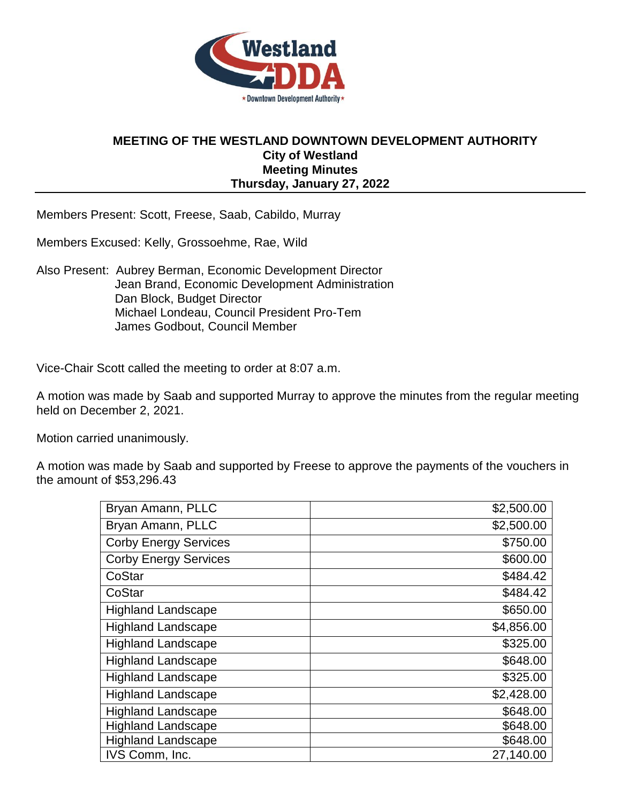

## **MEETING OF THE WESTLAND DOWNTOWN DEVELOPMENT AUTHORITY City of Westland Meeting Minutes Thursday, January 27, 2022**

Members Present: Scott, Freese, Saab, Cabildo, Murray

Members Excused: Kelly, Grossoehme, Rae, Wild

Also Present: Aubrey Berman, Economic Development Director Jean Brand, Economic Development Administration Dan Block, Budget Director Michael Londeau, Council President Pro-Tem James Godbout, Council Member

Vice-Chair Scott called the meeting to order at 8:07 a.m.

A motion was made by Saab and supported Murray to approve the minutes from the regular meeting held on December 2, 2021.

Motion carried unanimously.

A motion was made by Saab and supported by Freese to approve the payments of the vouchers in the amount of \$53,296.43

| Bryan Amann, PLLC            | \$2,500.00 |
|------------------------------|------------|
| Bryan Amann, PLLC            | \$2,500.00 |
| <b>Corby Energy Services</b> | \$750.00   |
| <b>Corby Energy Services</b> | \$600.00   |
| CoStar                       | \$484.42   |
| CoStar                       | \$484.42   |
| <b>Highland Landscape</b>    | \$650.00   |
| <b>Highland Landscape</b>    | \$4,856.00 |
| <b>Highland Landscape</b>    | \$325.00   |
| <b>Highland Landscape</b>    | \$648.00   |
| <b>Highland Landscape</b>    | \$325.00   |
| <b>Highland Landscape</b>    | \$2,428.00 |
| <b>Highland Landscape</b>    | \$648.00   |
| <b>Highland Landscape</b>    | \$648.00   |
| <b>Highland Landscape</b>    | \$648.00   |
| IVS Comm, Inc.               | 27,140.00  |